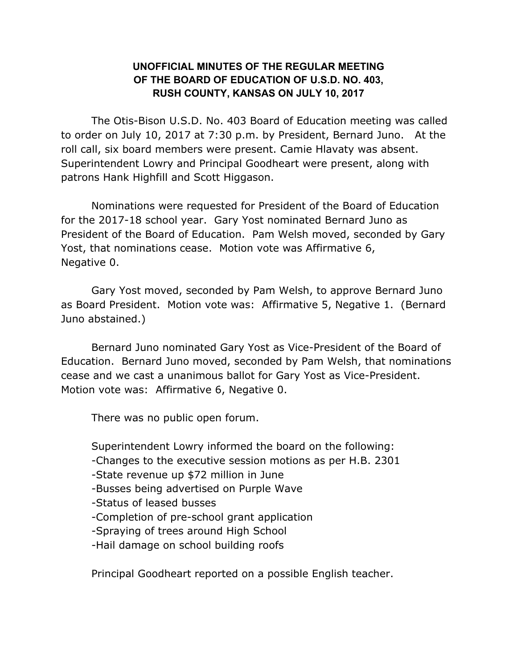## **UNOFFICIAL MINUTES OF THE REGULAR MEETING OF THE BOARD OF EDUCATION OF U.S.D. NO. 403, RUSH COUNTY, KANSAS ON JULY 10, 2017**

The Otis-Bison U.S.D. No. 403 Board of Education meeting was called to order on July 10, 2017 at 7:30 p.m. by President, Bernard Juno. At the roll call, six board members were present. Camie Hlavaty was absent. Superintendent Lowry and Principal Goodheart were present, along with patrons Hank Highfill and Scott Higgason.

 Nominations were requested for President of the Board of Education for the 2017-18 school year. Gary Yost nominated Bernard Juno as President of the Board of Education. Pam Welsh moved, seconded by Gary Yost, that nominations cease. Motion vote was Affirmative 6, Negative 0.

Gary Yost moved, seconded by Pam Welsh, to approve Bernard Juno as Board President. Motion vote was: Affirmative 5, Negative 1. (Bernard Juno abstained.)

 Bernard Juno nominated Gary Yost as Vice-President of the Board of Education. Bernard Juno moved, seconded by Pam Welsh, that nominations cease and we cast a unanimous ballot for Gary Yost as Vice-President. Motion vote was: Affirmative 6, Negative 0.

There was no public open forum.

Superintendent Lowry informed the board on the following:

- -Changes to the executive session motions as per H.B. 2301
- -State revenue up \$72 million in June
- -Busses being advertised on Purple Wave
- -Status of leased busses
- -Completion of pre-school grant application
- -Spraying of trees around High School
- -Hail damage on school building roofs

Principal Goodheart reported on a possible English teacher.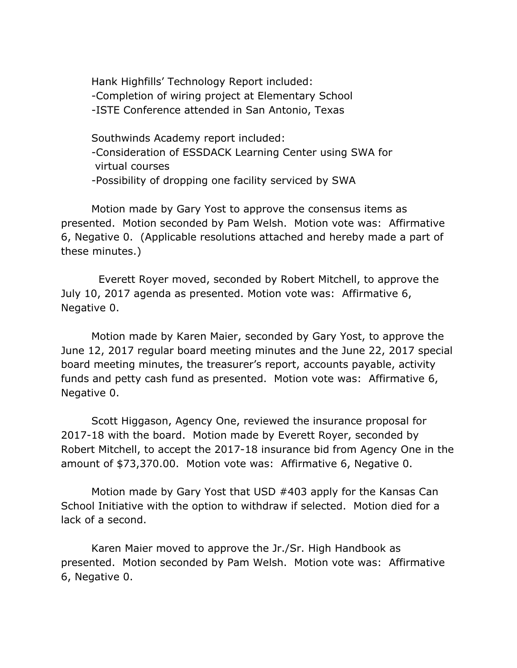Hank Highfills' Technology Report included: -Completion of wiring project at Elementary School -ISTE Conference attended in San Antonio, Texas

Southwinds Academy report included: -Consideration of ESSDACK Learning Center using SWA for virtual courses -Possibility of dropping one facility serviced by SWA

 Motion made by Gary Yost to approve the consensus items as presented. Motion seconded by Pam Welsh. Motion vote was: Affirmative 6, Negative 0. (Applicable resolutions attached and hereby made a part of these minutes.)

 Everett Royer moved, seconded by Robert Mitchell, to approve the July 10, 2017 agenda as presented. Motion vote was: Affirmative 6, Negative 0.

 Motion made by Karen Maier, seconded by Gary Yost, to approve the June 12, 2017 regular board meeting minutes and the June 22, 2017 special board meeting minutes, the treasurer's report, accounts payable, activity funds and petty cash fund as presented. Motion vote was: Affirmative 6, Negative 0.

 Scott Higgason, Agency One, reviewed the insurance proposal for 2017-18 with the board. Motion made by Everett Royer, seconded by Robert Mitchell, to accept the 2017-18 insurance bid from Agency One in the amount of \$73,370.00. Motion vote was: Affirmative 6, Negative 0.

Motion made by Gary Yost that USD #403 apply for the Kansas Can School Initiative with the option to withdraw if selected. Motion died for a lack of a second.

 Karen Maier moved to approve the Jr./Sr. High Handbook as presented. Motion seconded by Pam Welsh. Motion vote was: Affirmative 6, Negative 0.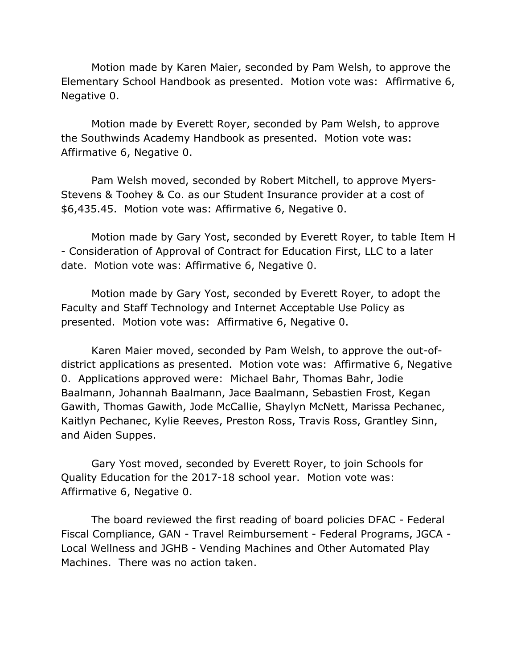Motion made by Karen Maier, seconded by Pam Welsh, to approve the Elementary School Handbook as presented. Motion vote was: Affirmative 6, Negative 0.

 Motion made by Everett Royer, seconded by Pam Welsh, to approve the Southwinds Academy Handbook as presented. Motion vote was: Affirmative 6, Negative 0.

Pam Welsh moved, seconded by Robert Mitchell, to approve Myers-Stevens & Toohey & Co. as our Student Insurance provider at a cost of \$6,435.45. Motion vote was: Affirmative 6, Negative 0.

Motion made by Gary Yost, seconded by Everett Royer, to table Item H - Consideration of Approval of Contract for Education First, LLC to a later date. Motion vote was: Affirmative 6, Negative 0.

Motion made by Gary Yost, seconded by Everett Royer, to adopt the Faculty and Staff Technology and Internet Acceptable Use Policy as presented. Motion vote was: Affirmative 6, Negative 0.

 Karen Maier moved, seconded by Pam Welsh, to approve the out-ofdistrict applications as presented. Motion vote was: Affirmative 6, Negative 0. Applications approved were: Michael Bahr, Thomas Bahr, Jodie Baalmann, Johannah Baalmann, Jace Baalmann, Sebastien Frost, Kegan Gawith, Thomas Gawith, Jode McCallie, Shaylyn McNett, Marissa Pechanec, Kaitlyn Pechanec, Kylie Reeves, Preston Ross, Travis Ross, Grantley Sinn, and Aiden Suppes.

 Gary Yost moved, seconded by Everett Royer, to join Schools for Quality Education for the 2017-18 school year. Motion vote was: Affirmative 6, Negative 0.

The board reviewed the first reading of board policies DFAC - Federal Fiscal Compliance, GAN - Travel Reimbursement - Federal Programs, JGCA - Local Wellness and JGHB - Vending Machines and Other Automated Play Machines. There was no action taken.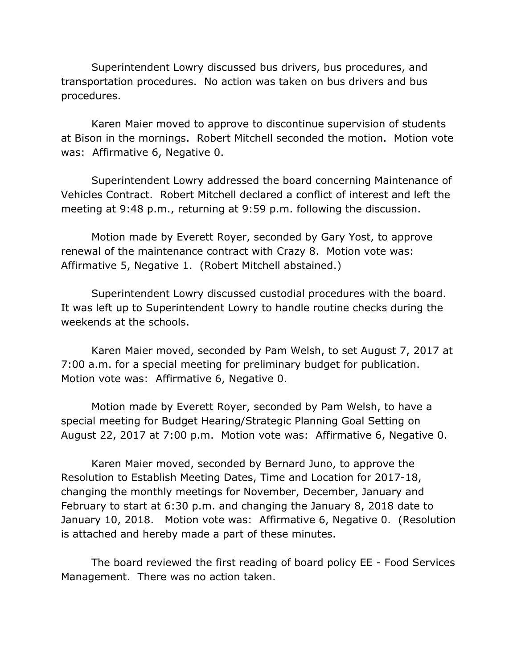Superintendent Lowry discussed bus drivers, bus procedures, and transportation procedures. No action was taken on bus drivers and bus procedures.

Karen Maier moved to approve to discontinue supervision of students at Bison in the mornings. Robert Mitchell seconded the motion. Motion vote was: Affirmative 6, Negative 0.

Superintendent Lowry addressed the board concerning Maintenance of Vehicles Contract. Robert Mitchell declared a conflict of interest and left the meeting at 9:48 p.m., returning at 9:59 p.m. following the discussion.

Motion made by Everett Royer, seconded by Gary Yost, to approve renewal of the maintenance contract with Crazy 8. Motion vote was: Affirmative 5, Negative 1. (Robert Mitchell abstained.)

Superintendent Lowry discussed custodial procedures with the board. It was left up to Superintendent Lowry to handle routine checks during the weekends at the schools.

 Karen Maier moved, seconded by Pam Welsh, to set August 7, 2017 at 7:00 a.m. for a special meeting for preliminary budget for publication. Motion vote was: Affirmative 6, Negative 0.

Motion made by Everett Royer, seconded by Pam Welsh, to have a special meeting for Budget Hearing/Strategic Planning Goal Setting on August 22, 2017 at 7:00 p.m. Motion vote was: Affirmative 6, Negative 0.

Karen Maier moved, seconded by Bernard Juno, to approve the Resolution to Establish Meeting Dates, Time and Location for 2017-18, changing the monthly meetings for November, December, January and February to start at 6:30 p.m. and changing the January 8, 2018 date to January 10, 2018. Motion vote was: Affirmative 6, Negative 0. (Resolution is attached and hereby made a part of these minutes.

The board reviewed the first reading of board policy EE - Food Services Management. There was no action taken.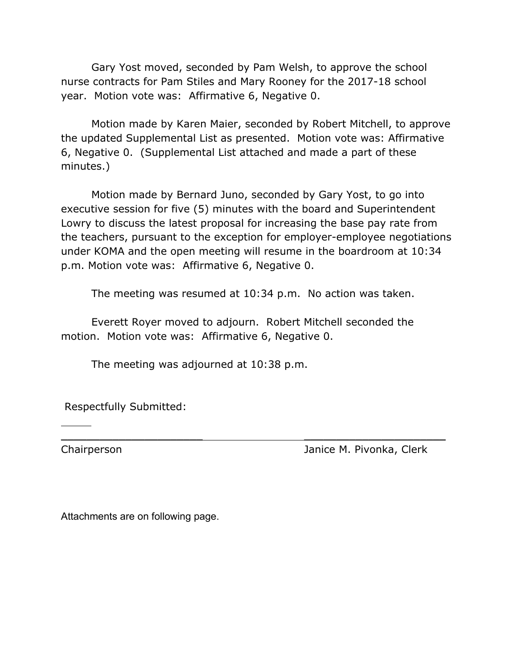Gary Yost moved, seconded by Pam Welsh, to approve the school nurse contracts for Pam Stiles and Mary Rooney for the 2017-18 school year. Motion vote was: Affirmative 6, Negative 0.

Motion made by Karen Maier, seconded by Robert Mitchell, to approve the updated Supplemental List as presented. Motion vote was: Affirmative 6, Negative 0. (Supplemental List attached and made a part of these minutes.)

 Motion made by Bernard Juno, seconded by Gary Yost, to go into executive session for five (5) minutes with the board and Superintendent Lowry to discuss the latest proposal for increasing the base pay rate from the teachers, pursuant to the exception for employer-employee negotiations under KOMA and the open meeting will resume in the boardroom at 10:34 p.m. Motion vote was: Affirmative 6, Negative 0.

The meeting was resumed at 10:34 p.m. No action was taken.

 $\overline{\phantom{a}}$  , and the contract of the contract of the contract of the contract of the contract of the contract of the contract of the contract of the contract of the contract of the contract of the contract of the contrac

 Everett Royer moved to adjourn. Robert Mitchell seconded the motion. Motion vote was: Affirmative 6, Negative 0.

The meeting was adjourned at 10:38 p.m.

Respectfully Submitted:

j.

Chairperson Janice M. Pivonka, Clerk

Attachments are on following page.